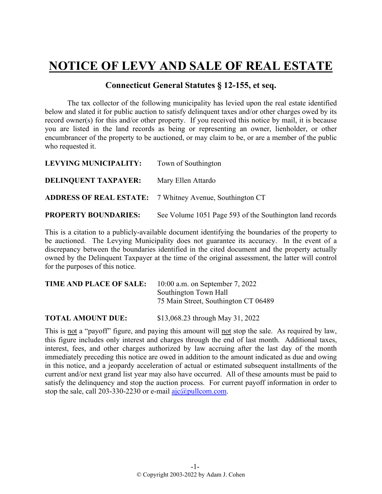## **NOTICE OF LEVY AND SALE OF REAL ESTATE**

## **Connecticut General Statutes § 12-155, et seq.**

The tax collector of the following municipality has levied upon the real estate identified below and slated it for public auction to satisfy delinquent taxes and/or other charges owed by its record owner(s) for this and/or other property. If you received this notice by mail, it is because you are listed in the land records as being or representing an owner, lienholder, or other encumbrancer of the property to be auctioned, or may claim to be, or are a member of the public who requested it.

| LEVYING MUNICIPALITY:       | Town of Southington                                             |
|-----------------------------|-----------------------------------------------------------------|
| <b>DELINQUENT TAXPAYER:</b> | Mary Ellen Attardo                                              |
|                             | <b>ADDRESS OF REAL ESTATE:</b> 7 Whitney Avenue, Southington CT |
| <b>PROPERTY BOUNDARIES:</b> | See Volume 1051 Page 593 of the Southington land records        |

This is a citation to a publicly-available document identifying the boundaries of the property to be auctioned. The Levying Municipality does not guarantee its accuracy. In the event of a discrepancy between the boundaries identified in the cited document and the property actually owned by the Delinquent Taxpayer at the time of the original assessment, the latter will control for the purposes of this notice.

| TIME AND PLACE OF SALE: | 10:00 a.m. on September 7, 2022      |
|-------------------------|--------------------------------------|
|                         | Southington Town Hall                |
|                         | 75 Main Street, Southington CT 06489 |
|                         |                                      |

**TOTAL AMOUNT DUE:** \$13,068.23 through May 31, 2022

This is not a "payoff" figure, and paying this amount will not stop the sale. As required by law, this figure includes only interest and charges through the end of last month. Additional taxes, interest, fees, and other charges authorized by law accruing after the last day of the month immediately preceding this notice are owed in addition to the amount indicated as due and owing in this notice, and a jeopardy acceleration of actual or estimated subsequent installments of the current and/or next grand list year may also have occurred. All of these amounts must be paid to satisfy the delinquency and stop the auction process. For current payoff information in order to stop the sale, call 203-330-2230 or e-mail  $a$ jc $@p$ ullcom.com.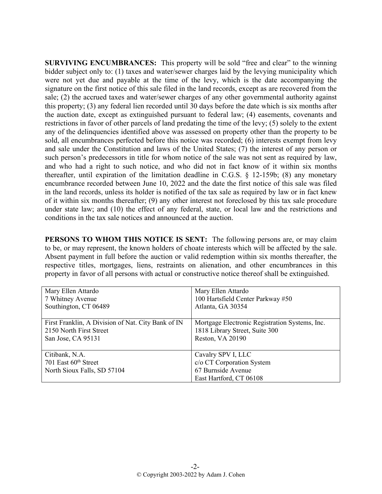**SURVIVING ENCUMBRANCES:** This property will be sold "free and clear" to the winning bidder subject only to: (1) taxes and water/sewer charges laid by the levying municipality which were not yet due and payable at the time of the levy, which is the date accompanying the signature on the first notice of this sale filed in the land records, except as are recovered from the sale; (2) the accrued taxes and water/sewer charges of any other governmental authority against this property; (3) any federal lien recorded until 30 days before the date which is six months after the auction date, except as extinguished pursuant to federal law; (4) easements, covenants and restrictions in favor of other parcels of land predating the time of the levy; (5) solely to the extent any of the delinquencies identified above was assessed on property other than the property to be sold, all encumbrances perfected before this notice was recorded; (6) interests exempt from levy and sale under the Constitution and laws of the United States; (7) the interest of any person or such person's predecessors in title for whom notice of the sale was not sent as required by law, and who had a right to such notice, and who did not in fact know of it within six months thereafter, until expiration of the limitation deadline in C.G.S. § 12-159b; (8) any monetary encumbrance recorded between June 10, 2022 and the date the first notice of this sale was filed in the land records, unless its holder is notified of the tax sale as required by law or in fact knew of it within six months thereafter; (9) any other interest not foreclosed by this tax sale procedure under state law; and (10) the effect of any federal, state, or local law and the restrictions and conditions in the tax sale notices and announced at the auction.

**PERSONS TO WHOM THIS NOTICE IS SENT:** The following persons are, or may claim to be, or may represent, the known holders of choate interests which will be affected by the sale. Absent payment in full before the auction or valid redemption within six months thereafter, the respective titles, mortgages, liens, restraints on alienation, and other encumbrances in this property in favor of all persons with actual or constructive notice thereof shall be extinguished.

| Mary Ellen Attardo                                 | Mary Ellen Attardo                             |
|----------------------------------------------------|------------------------------------------------|
| 7 Whitney Avenue                                   | 100 Hartsfield Center Parkway #50              |
| Southington, CT 06489                              | Atlanta, GA 30354                              |
|                                                    |                                                |
| First Franklin, A Division of Nat. City Bank of IN | Mortgage Electronic Registration Systems, Inc. |
| 2150 North First Street                            | 1818 Library Street, Suite 300                 |
| San Jose, CA 95131                                 | Reston, VA 20190                               |
|                                                    |                                                |
| Citibank, N.A.                                     | Cavalry SPV I, LLC                             |
| 701 East 60 <sup>th</sup> Street                   | c/o CT Corporation System                      |
| North Sioux Falls, SD 57104                        | 67 Burnside Avenue                             |
|                                                    | East Hartford, CT 06108                        |